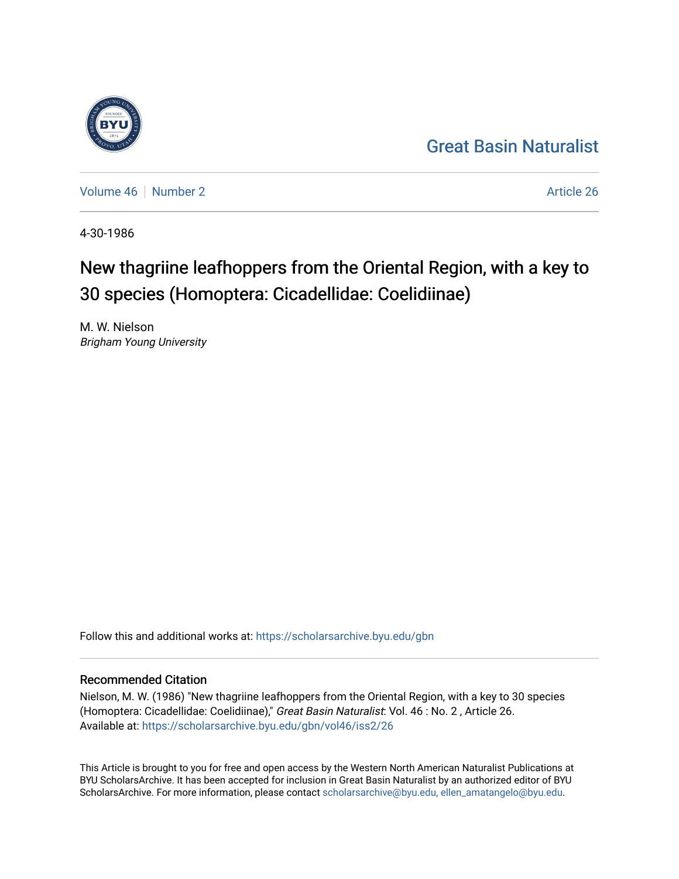# [Great Basin Naturalist](https://scholarsarchive.byu.edu/gbn)

[Volume 46](https://scholarsarchive.byu.edu/gbn/vol46) [Number 2](https://scholarsarchive.byu.edu/gbn/vol46/iss2) Article 26

4-30-1986

# New thagriine leafhoppers from the Oriental Region, with a key to 30 species (Homoptera: Cicadellidae: Coelidiinae)

M. W. Nielson Brigham Young University

Follow this and additional works at: [https://scholarsarchive.byu.edu/gbn](https://scholarsarchive.byu.edu/gbn?utm_source=scholarsarchive.byu.edu%2Fgbn%2Fvol46%2Fiss2%2F26&utm_medium=PDF&utm_campaign=PDFCoverPages) 

# Recommended Citation

Nielson, M. W. (1986) "New thagriine leafhoppers from the Oriental Region, with a key to 30 species (Homoptera: Cicadellidae: Coelidiinae)," Great Basin Naturalist: Vol. 46 : No. 2 , Article 26. Available at: [https://scholarsarchive.byu.edu/gbn/vol46/iss2/26](https://scholarsarchive.byu.edu/gbn/vol46/iss2/26?utm_source=scholarsarchive.byu.edu%2Fgbn%2Fvol46%2Fiss2%2F26&utm_medium=PDF&utm_campaign=PDFCoverPages) 

This Article is brought to you for free and open access by the Western North American Naturalist Publications at BYU ScholarsArchive. It has been accepted for inclusion in Great Basin Naturalist by an authorized editor of BYU ScholarsArchive. For more information, please contact [scholarsarchive@byu.edu, ellen\\_amatangelo@byu.edu.](mailto:scholarsarchive@byu.edu,%20ellen_amatangelo@byu.edu)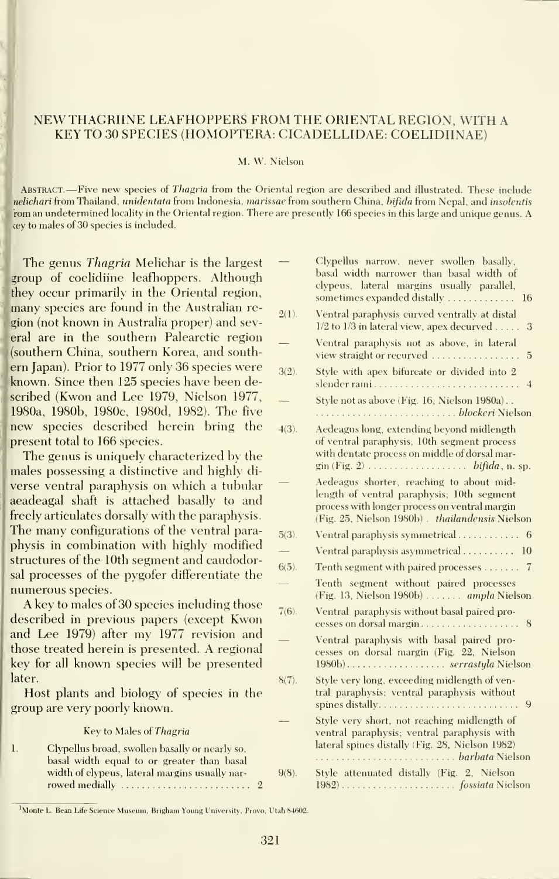# NEW THAGRIINE LEAFHOPPERS FROM THE ORIENTAL REGION, WITH A KEY TO 30 SPECIES (HOMOPTERA: CICADELLIDAE: COELIDIINAE)

#### M. W. Nielson

Abstract. —Five new species oi Thagria from the Oriental region are described and illustrated. These include nelichari from Thailand, unidentata from Indonesia, marissae from southern China, bifida from Nepal, and insolentis rom an undetermined locality in the Oriental region. There are presently 166 species in this large and unique genus. A iey to males of 30 species isincluded.

The genus Thagria Melichar is the largest group of coelidiine leafhoppers. Although they occur primarily in the Oriental region, many species are found in the Australian re gion (not known in Australia proper) and several are in the southern Palearctic region (southern China, southern Korea, and south ern Japan). Prior to 1977 only 36 species were known. Since then 125 species have been described (Kwon and Lee 1979, Nielson 1977, 1980a, 1980b, 1980c, 1980d, 1982). The five new species described herein bring the present total to 166 species.

The genus is uniquely characterized by the males possessing a distinctive and highly di verse ventral paraphysis on which a tubular aeadeagal shaft is attached basally to and freely articulates dorsally with the paraphysis. The many configurations of the ventral para physis in combination with highly modified structures of the 10th segment and caudodorsal processes of the pygofer differentiate the numerous species.

A key to males of 30 species including those described in previous papers (except Kwon and Lee 1979) after my 1977 revision and those treated herein is presented. A regional key for all known species will be presented later.

Host plants and biology of species in the group are very poorly known.

#### Key to Males of Thagria

| 1. | Clypellus broad, swollen basally or nearly so, |    |
|----|------------------------------------------------|----|
|    | basal width equal to or greater than basal     |    |
|    | width of clypeus, lateral margins usually nar- | 9( |
|    |                                                |    |

|          | Clypellus narrow, never swollen basally,<br>basal width narrower than basal width of<br>clypeus, lateral margins usually parallel,<br>sometimes expanded distally<br>16                                        |
|----------|----------------------------------------------------------------------------------------------------------------------------------------------------------------------------------------------------------------|
| $2(1)$ . | Ventral paraphysis curved ventrally at distal<br>$1/2$ to $1/3$ in lateral view, apex decurved<br>3                                                                                                            |
|          | Ventral paraphysis not as above, in lateral<br>view straight or recurved<br>5                                                                                                                                  |
| $3(2)$ . | Style with apex bifurcate or divided into 2<br>slender rami<br>4                                                                                                                                               |
|          | Style not as above (Fig. 16, Nielson 1980a)                                                                                                                                                                    |
| $4(3)$ . | Aedeagus long, extending bevond midlength<br>of ventral paraphysis; 10th segment process<br>with dentate process on middle of dorsal mar-<br>gin (Fig. 2) $\dots \dots \dots \dots \dots \dots$ bifida, n. sp. |
|          | Aedeagus shorter, reaching to about mid-<br>length of ventral paraphysis; 10th segment<br>process with longer process on ventral margin<br>(Fig. 25, Nielson 1980b). thailandensis Nielson                     |
| $5(3)$ . | Ventral paraphysis symmetrical 6                                                                                                                                                                               |
|          | Ventral paraphysis asymmetrical 10                                                                                                                                                                             |
| $6(5)$ . | Tenth segment with paired processes $\dots \dots 7$                                                                                                                                                            |
|          | Tenth segment without paired processes<br>(Fig. 13, Nielson 1980b)  ampla Nielson                                                                                                                              |
| $7(6)$ . | Ventral paraphysis without basal paired pro-                                                                                                                                                                   |
|          | Ventral paraphysis with basal paired pro-<br>cesses on dorsal margin (Fig. 22, Nielson<br>1980b) serrastyla Nielson                                                                                            |
| $8(7)$ . | Style very long, exceeding midlength of ven-<br>tral paraphysis; ventral paraphysis without<br>spines distally<br>9                                                                                            |
|          | Style very short, not reaching midlength of<br>ventral paraphysis; ventral paraphysis with<br>lateral spines distally (Fig. 28, Nielson 1982)                                                                  |
| $9(8)$ . | Style attenuated distally (Fig. 2, Nielson                                                                                                                                                                     |

<sup>&#</sup>x27;Monte L. Bean Life Science Museum. Brigham Young University. Provo, Utah 84602.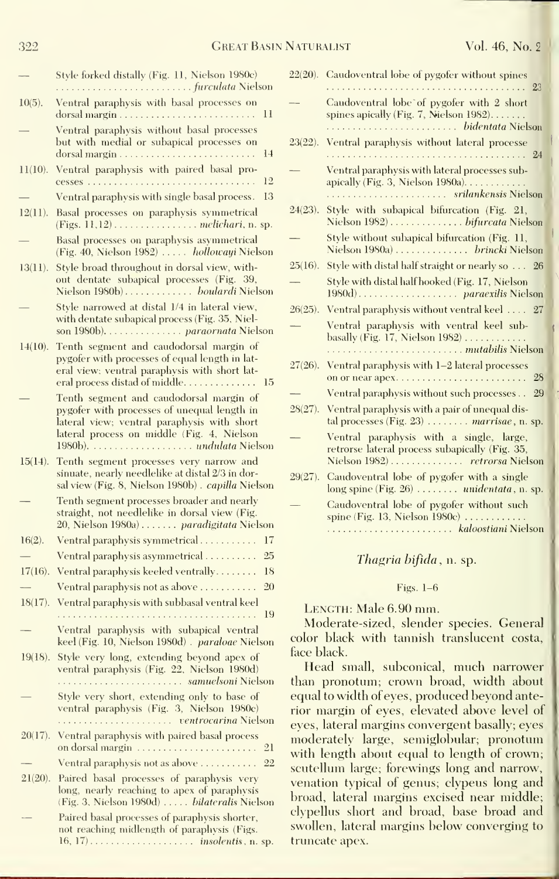#### 322 Great Basin Naturalist Vol. 46, No. <sup>2</sup>

|            | Style forked distally (Fig. 11, Nielson 1980c)                                                                                                                                      | 22(         |
|------------|-------------------------------------------------------------------------------------------------------------------------------------------------------------------------------------|-------------|
| $10(5)$ .  | Ventral paraphysis with basal processes on<br>11                                                                                                                                    |             |
|            | Ventral paraphysis without basal processes<br>but with medial or subapical processes on<br>14                                                                                       | 23(         |
| $11(10)$ . | Ventral paraphysis with paired basal pro-<br>12                                                                                                                                     |             |
|            | Ventral paraphysis with single basal process.<br>13                                                                                                                                 |             |
| 12(11).    | Basal processes on paraphysis symmetrical<br>(Figs. 11,12) melichari, n. sp.                                                                                                        | 24(         |
|            | Basal processes on paraphysis asymmetrical<br>(Fig. 40, Nielson 1982)  hollowayi Nielson                                                                                            |             |
| $13(11)$ . | Style broad throughout in dorsal view, with-<br>out dentate subapical processes (Fig. 39,<br>Nielson 1980b) <i>boulardi</i> Nielson                                                 | 25(         |
|            | Style narrowed at distal 1/4 in lateral view,<br>with dentate subapical process (Fig. 35, Niel-<br>son 1980b). paraornata Nielson                                                   | 26(         |
| $14(10)$ . | Tenth segment and caudodorsal margin of<br>pygofer with processes of equal length in lat-<br>eral view; ventral paraphysis with short lat-<br>eral process distad of middle 15      | 27(         |
|            | Tenth segment and caudodorsal margin of<br>pygofer with processes of unequal length in<br>lateral view; ventral paraphysis with short<br>lateral process on middle (Fig. 4, Nielson | 28(         |
| $15(14)$ . | Tenth segment processes very narrow and<br>sinuate, nearly needlelike at distal 2/3 in dor-<br>sal view (Fig. 8, Nielson 1980b). capilla Nielson                                    | 29(         |
|            | Tenth segment processes broader and nearly<br>straight, not needlelike in dorsal view (Fig.<br>20, Nielson 1980a) <i>paradigitata</i> Nielson                                       |             |
| $16(2)$ .  | Ventral paraphysis symmetrical<br>17                                                                                                                                                |             |
|            | 25<br>Ventral paraphysis asymmetrical                                                                                                                                               |             |
| $17(16)$ . | Ventral paraphysis keeled ventrally. $\dots \dots$<br>18                                                                                                                            |             |
|            | Ventral paraphysis not as above<br>20                                                                                                                                               |             |
| $18(17)$ . | Ventral paraphysis with subbasal ventral keel<br>19                                                                                                                                 |             |
|            | Ventral paraphysis with subapical ventral<br>keel (Fig. 10, Nielson 1980d). paraloae Nielson                                                                                        | $_{\rm co}$ |
| $19(18)$ . | Style very long, extending beyond apex of<br>ventral paraphysis (Fig. 22, Nielson 1980d)                                                                                            | fac<br>th:  |
|            | Style very short, extending only to base of<br>ventral paraphysis (Fig. 3, Nielson 1980c)                                                                                           | eq<br>ric   |
| $20(17)$ . | Ventral paraphysis with paired basal process                                                                                                                                        | ey<br>m     |
|            | 21                                                                                                                                                                                  | wi          |
|            | Ventral paraphysis not as above<br>22                                                                                                                                               | SCI         |
| $21(20)$ . | Paired basal processes of paraphysis very<br>long, nearly reaching to apex of paraphysis                                                                                            | ve          |
|            | (Fig. 3, Nielson 1980d)  bilateralis Nielson                                                                                                                                        | br          |
|            | Paired basal processes of paraphysis shorter,                                                                                                                                       | ely         |
|            | not reaching midlength of paraphysis (Figs.                                                                                                                                         | sw          |
|            | $16\,17$ and $\blacksquare$ insolentis n sp                                                                                                                                         | tri         |

|            | 22(20). Caudoventral lobe of pygofer without spines                                                                           |  |
|------------|-------------------------------------------------------------------------------------------------------------------------------|--|
|            | Caudoventral lobe of pygofer with 2 short<br>spines apically (Fig. 7, Nielson 1982)                                           |  |
| $23(22)$ . | Ventral paraphysis without lateral processe                                                                                   |  |
|            | Ventral paraphysis with lateral processes sub-<br>apically (Fig. 3, Nielson 1980a)                                            |  |
| $24(23)$ . | srilankensis Nielson<br>Style with subapical bifurcation (Fig. 21,<br>Nielson 1982)  bifurcata Nielson                        |  |
|            | Style without subapical bifurcation (Fig. 11,<br>Nielson 1980a)  brincki Nielson                                              |  |
| $25(16)$ . | Style with distal half straight or nearly so 26                                                                               |  |
|            | Style with distal half hooked (Fig. 17, Nielson                                                                               |  |
| $26(25)$ . | Ventral paraphysis without ventral keel  27                                                                                   |  |
|            | Ventral paraphysis with ventral keel sub-<br>basally (Fig. 17, Nielson 1982)                                                  |  |
| $27(26)$ . | Ventral paraphysis with 1-2 lateral processes<br>28                                                                           |  |
|            | Ventral paraphysis without such processes<br>29                                                                               |  |
| $28(27)$ . | Ventral paraphysis with a pair of unequal dis-<br>tal processes (Fig. $23)$ marrisae, n. sp.                                  |  |
|            | Ventral paraphysis with a single, large,<br>retrorse lateral process subapically (Fig. 35,<br>Nielson 1982)  retrorsa Nielson |  |
| $29(27)$ . | Caudoventral lobe of pygofer with a single<br>long spine (Fig. $26$ )  unidentata, n. sp.                                     |  |
|            | Caudoventral lobe of pygofer without such<br>spine (Fig. 13, Nielson 1980c)                                                   |  |
|            |                                                                                                                               |  |

#### Thagria bifida, n. sp.

#### Figs. 1-6

LENGTH: Male 6.90 mm.

Moderate-sized, slender species. General color black with tannish translucent costa, face black.

Head small, subconical, much narrower than pronotum; crown broad, width about equal to width ofeyes, produced beyond anterior margin of eyes, elevated above level of eyes, lateral margins convergent basally; eyes moderately large, semiglobular; pronotum with length about equal to length of crown; scutellum large; forewings long and narrow, venation typical of genus; clypeus long and broad, lateral margins excised near middle; clypellus short and broad, base broad and swollen, lateral margins below converging to truncate apex.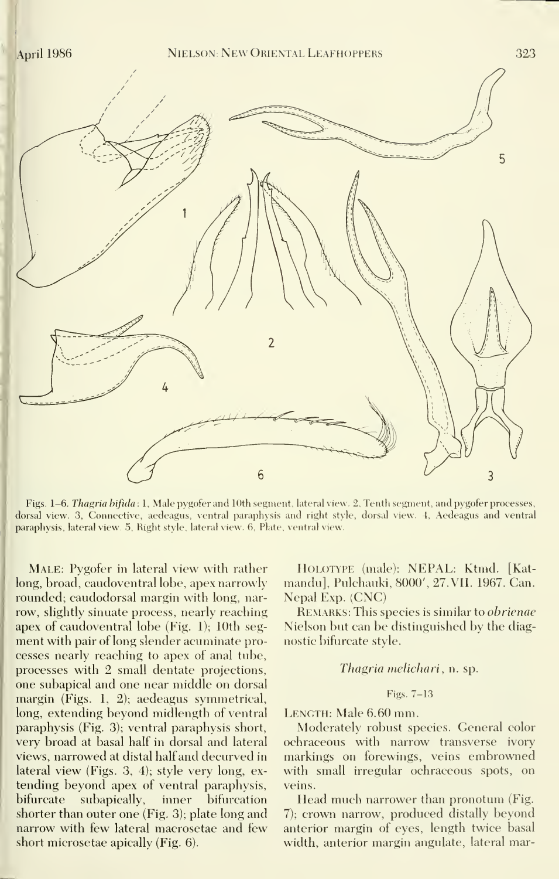5  $\overline{2}$ 6  $\overline{3}$ 

Figs. 1-6. Thagria bifida: 1, Male pygofer and 10th segment, lateral view. 2, Tenth segment, and pygofer processes, dorsal view. 3, Connective, aedeagus, ventral paraphysis and right style, dorsal view. 4, Aedeagus and ventral paraphysis, lateral view. 5, Right style, lateral view. 6, Plate, ventral view.

Male: Pygofer in lateral view with rather long, broad, caudoventral lobe, apex narrowly rounded; caudodorsal margin with long, nar row, slightly sinuate process, nearly reaching apex of caudoventral lobe (Fig. 1); 10th seg ment with pair of long slender acuminate processes nearly reaching to apex of anal tube, processes with 2 small dentate projections, one subapical and one near middle on dorsal margin (Figs. 1, 2); aedeagus symmetrical, long, extending beyond midlength of ventral paraphysis (Fig. 3); ventral paraphysis short, very broad at basal half in dorsal and lateral views, narrowed at distal half and decurved in lateral view (Figs. 3, 4); style very long, ex tending beyond apex of ventral paraphysis, bifurcate subapically, inner bifurcation shorter than outer one (Fig. 3); plate long and narrow with few lateral macrosetae and few short microsetae apically (Fig. 6).

HOLOTYPE (male): NEPAL: Ktmd. [Katmandu], Pulchauki, 8000', 27. VII. 1967. Can. Nepal Exp. (CNC)

REMARKS: This species is similar to obrienae Nielson but can be distinguished by the diagnostic bifurcate style.

#### Thagria melichari, n. sp.

# Figs. 7-13

LENGTH: Male  $6.60$  mm.

Moderately robust species. General color ochraceous with narrow transverse ivory markings on forewings, veins embrowned with small irregular ochraceous spots, on veins.

Head much narrower than pronotum (Fig. 7); crown narrow, produced distally beyond anterior margin of eyes, length twice basal width, anterior margin angulate, lateral mar-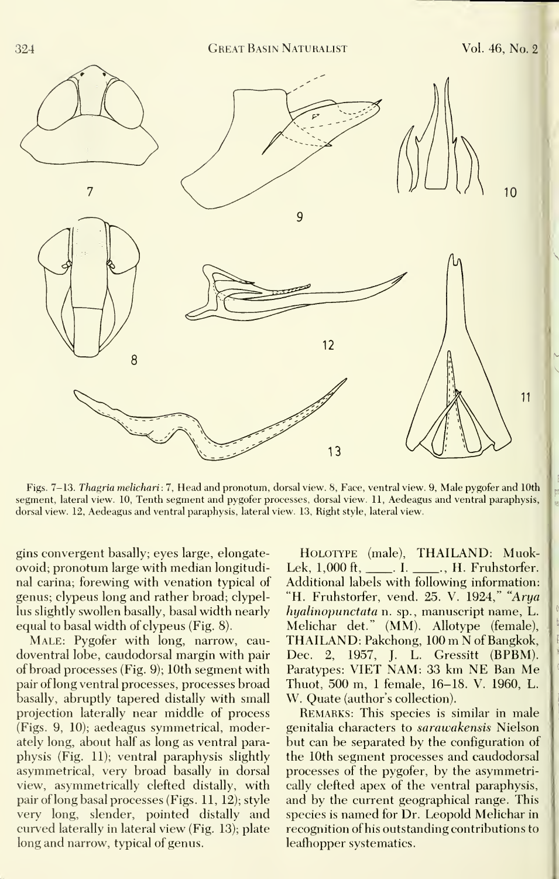

Figs. 7-13. Thagria melichari: 7, Head and pronotum, dorsal view. 8, Face, ventral view. 9, Male pygofer and 10th segment, lateral view. 10, Tenth segment and pygofer processes, dorsal view. 11, Aedeagus and ventral paraphysis, dorsal view. 12, Aedeagus and ventral paraphysis, lateral view. 13, Right style, lateral view.

gins convergent basally; eyes large, elongateovoid; pronotum large with median longitudinal carina; forewing with venation typical of genus; clypeus long and rather broad; clypellus slightly swollen basally, basal width nearly equal to basal width of clypeus (Fig. 8).

Male: Pygofer with long, narrow, cau doventral lobe, caudodorsal margin with pair of broad processes (Fig. 9); 10th segment with pair of long ventral processes, processes broad basally, abruptly tapered distally with small projection laterally near middle of process (Figs. 9, 10); aedeagus symmetrical, moderately long, about half as long as ventral para physis (Fig. 11); ventral paraphysis slightly asymmetrical, very broad basally in dorsal view, asymmetrically clefted distally, with pair oflong basal processes (Figs. 11, 12); style very long, slender, pointed distally and curved laterally in lateral view (Fig. 13); plate long and narrow, typical of genus.

HOLOTYPE (male), THAILAND: Muok-Lek, 1,000 ft, \_\_\_\_. I. \_\_\_\_., H. Fruhstorfer. Additional labels with following information: "H. Fruhstorfer, vend. 25. V. 1924," "Arya" hyalinopunctata n. sp., manuscript name, L. Melichar det." (MM). Allotype (female), THAILAND: Pakchong, <sup>100</sup> m N of Bangkok, Dec. 2, 1957, J. L. Gressitt (BPBM). Paratypes: VIET NAM: 33 km NE Ban Me Thuot, 500 m, <sup>1</sup>female, 16-18. V. 1960, L. W. Quate (author's collection).

Remarks: This species is similar in male genitalia characters to sarawakensis Nielson but can be separated by the configuration of the 10th segment processes and caudodorsal processes of the pygofer, by the asymmetrically clefted apex of the ventral paraphysis, and by the current geographical range. This species is named for Dr. Leopold Melichar in recognition ofhis outstanding contributions to leafhopper systematics.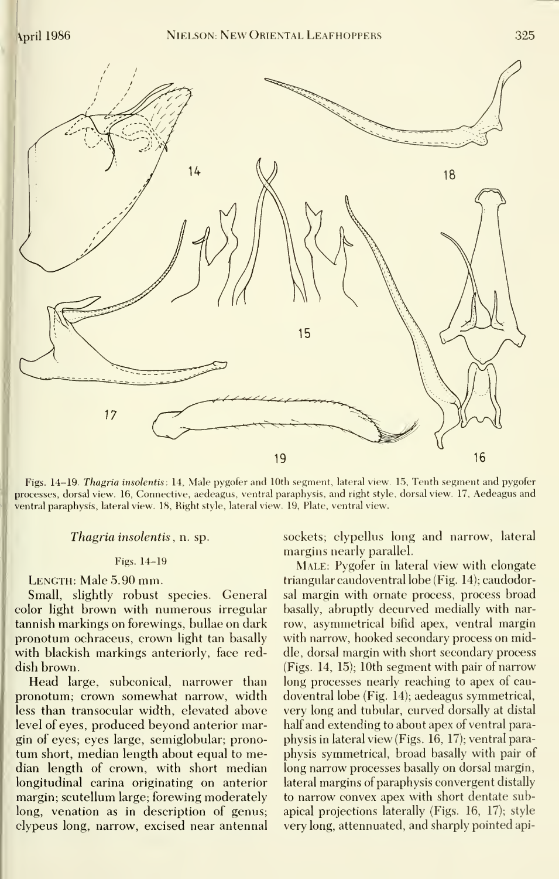

Figs. 14-19. Thagria insolentis: 14, Male pygofer and 10th segment, lateral view. 15, Tenth segment and pygofer processes, dorsal view. 16, Connective, aedeagus, ventral paraphysis, and right style, dorsal view. 17, Aedeagus and ventral paraphysis, lateral view. 18, Right style, lateral view. 19, Plate, ventral view.

Thagria insolentis , n. sp.

#### Figs. 14-19

#### LENGTH: Male 5.90 mm.

Small, slightly robust species. General color light brown with numerous irregular tannish markings on forewings, bullae on dark pronotum ochraceus, crown light tan basally with blackish markings anteriorly, face reddish brown.

Head large, subconical, narrower than pronotum; crown somewhat narrow, width less than transocular width, elevated above level of eyes, produced beyond anterior margin of eyes; eyes large, semiglobular; prono tum short, median length about equal to median length of crown, with short median longitudinal carina originating on anterior margin; scutellum large; forewing moderately long, venation as in description of genus; clypeus long, narrow, excised near antennal sockets; clypellus long and narrow, lateral margins nearly parallel.

Male: Pygofer in lateral view with elongate triangular caudoventral lobe (Fig. 14); caudodorsal margin with ornate process, process broad basally, abruptly decurved medially with nar row, asymmetrical bifid apex, ventral margin with narrow, hooked secondary process on middle, dorsal margin with short secondary process (Figs. 14, 15); 10th segment with pair of narrow long processes nearly reaching to apex of cau doventral lobe (Fig. 14); aedeagus symmetrical, very long and tubular, curved dorsally at distal half and extending to about apex of ventral para physis in lateral view (Figs. 16, 17); ventral para physis symmetrical, broad basally with pair of long narrow processes basally on dorsal margin, lateral margins of paraphysis convergent distally to narrow convex apex with short dentate subapical projections laterally (Figs. 16, 17); style very long, attennuated, and sharply pointed api-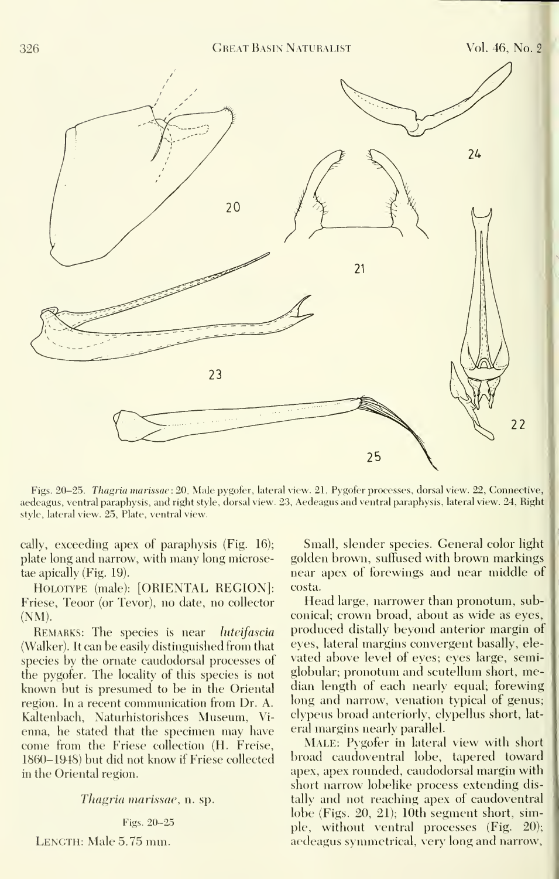## 326 Great Basin Naturalist Vol. 46, No. <sup>2</sup>



Figs. 20-25. Thagria marissae : 20, Male pygofer, lateral view. 21, Pygofer processes, dorsal view. 22, Connective, aedeagus, ventral paraphysis, and right style, dorsal view. 23, Aedeagus and ventral paraphysis, lateral view. 24, Right style, lateral view. 25, Plate, ventral view.

cally, exceeding apex of paraphysis (Fig. 16); plate long and narrow, with many long microsetae apically (Fig. 19).

HOLOTYPE (male): [ORIENTAL REGION]: Friese, Teoor (or Tevor), no date, no collector (NM).

REMARKS: The species is near *luteifascia* (Walker). It can be easily distinguished from that species by the ornate caudodorsal processes of the pygofer. The locality of this species is not known but is presumed to be in the Oriental region. In a recent communication from Dr. A. Kaltenbach, Naturhistorishces Museum, Vi enna, he stated that the specimen may have come from the Friese collection (H. Freise, 1860-1948) but did not know if Friese collected in the Oriental region.

Thagria marissae, n. sp.

#### Figs. 20-25

Length: Male 5.75 mm.

Small, slender species. General color light golden brown, suffused with brown markings near apex of forewings and near middle of costa.

Head large, narrower than pronotum, subconical; crown broad, about as wide as eyes, produced distally beyond anterior margin of eyes, lateral margins convergent basally, ele vated above level of eyes; eyes large, semiglobular; pronotum and scutellum short, median length of each nearly equal; forewing long and narrow, venation typical of genus; clypeus broad anteriorly, clypellus short, lat eral margins nearly parallel.

Male: Pygofer in lateral view with short broad caudoventral lobe, tapered toward apex, apex rounded, caudodorsal margin with short narrow lobelike process extending distally and not reaching apex of caudoventral lobe (Figs. 20, 21); 10th segment short, simple, without ventral processes (Fig. 20); aedeagus symmetrical, very long and narrow,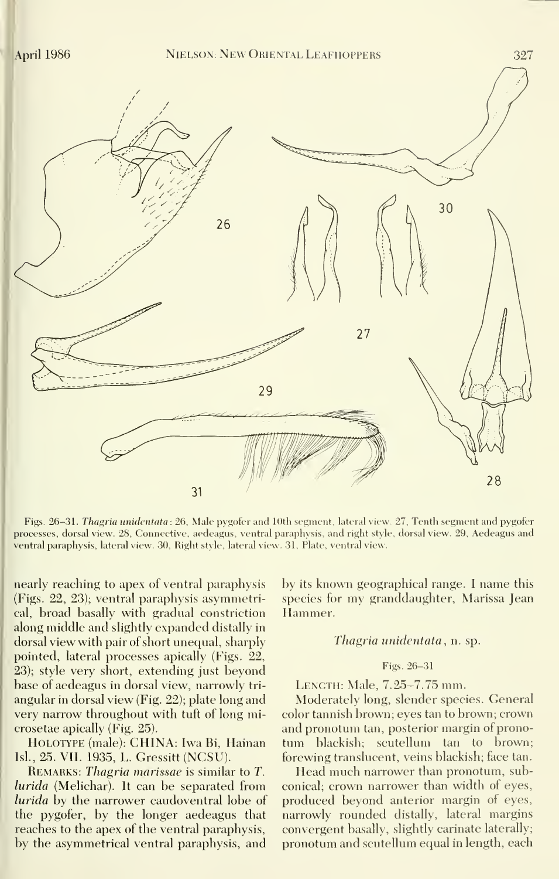

Figs. 26-31. Thagria unidentata: 26, Male pygofer and 10th segment, lateral view. 27, Tenth segment and pygofer processes, dorsal view. 28, Connective, aedeagus, ventral paraphysis, and right style, dorsal view. 29, Aedeagus and ventral paraphysis, lateral view. 30, Right style, lateral view. 31, Plate, ventral view.

nearly reaching to apex of ventral paraphysis (Figs. 22, 23); ventral paraphysis asymmetrical, broad basally with gradual constriction along middle and slightly expanded distally in dorsal view with pair of short unequal, sharply pointed, lateral processes apically (Figs. 22, 23); style very short, extending just beyond base of aedeagus in dorsal view, narrowly tri angular in dorsal view (Fig. 22); plate long and very narrow throughout with tuft of long microsetae apically (Fig. 25).

HOLOTYPE (male): CHINA: Iwa Bi, Hainan IsL, 25. Vn. 1935, L. Gressitt (NCSU).

REMARKS: Thagria marissae is similar to T. lurida (Melichar). It can be separated from lurida by the narrower caudoventral lobe of the pygofer, by the longer aedeagus that reaches to the apex of the ventral paraphysis, by the asymmetrical ventral paraphysis, and

by its known geographical range. I name this species for my granddaughter, Marissa Jean Hammer.

#### Thagria unidentata , n. sp.

## Figs. 26-31

Length: Male, 7.25-7.75 mm.

Moderately long, slender species. General color tannish brown; eyes tan to brown; crown and pronotum tan, posterior margin of prono tum blackish; scutellum tan to brown; forewing translucent, veins blackish; face tan.

Head much narrower than pronotum, subconical; crown narrower than width of eyes, produced beyond anterior margin of eyes, narrowly rounded distally, lateral margins convergent basally, slightly carinate laterally; pronotum and scutellum equal in length, each